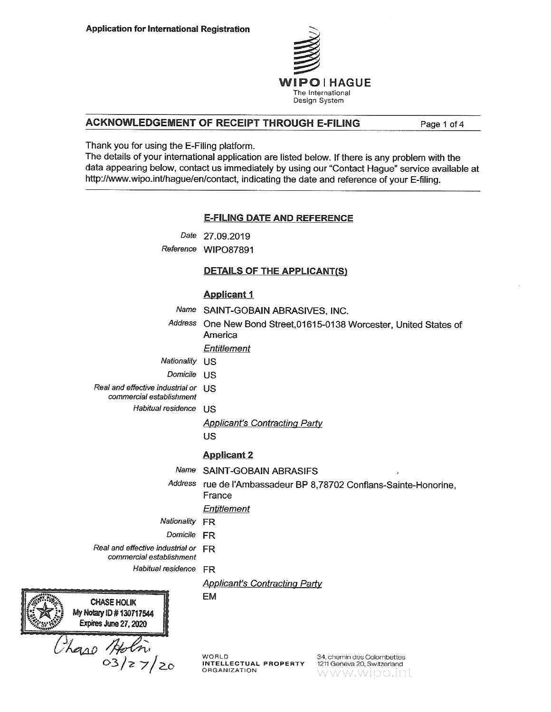

## ACKNOWLEDGEMENT OF RECEIPT THROUGH E-FILING

Page 1 of 4

Thank you for using the E-Filing platform.

The details of your international application are listed below. If there is any problem with the data appearing below, contact us immediately by using our "Contact Hague" service available at http://www.wipo.int/hague/en/contact, indicating the date and reference of your E-filing.

## **E-FILING DATE AND REFERENCE**

Date 27,09.2019

Reference WIPO87891

## **DETAILS OF THE APPLICANT(S)**

#### **Applicant 1**

- Name SAINT-GOBAIN ABRASIVES, INC.
- Address One New Bond Street, 01615-0138 Worcester, United States of America

#### Entitlement

- Nationality US
- Domicile US
- Real and effective industrial or US
	- commercial establishment
		- Habitual residence US
			- **Applicant's Contracting Party**
			- US

#### **Applicant 2**

- Name SAINT-GOBAIN ABRASIFS
- Address rue de l'Ambassadeur BP 8,78702 Conflans-Sainte-Honorine, France

#### Entitlement

- Nationality FR
	- Domicile **FR**

EM

Real and effective industrial or FR

commercial establishment

Habitual residence FR

## **Applicant's Contracting Party**

**CHASE HOLIK** My Notary ID # 130717544 Expires June 27, 2020

Haso Holm

**WORLD** INTELLECTUAL PROPERTY **ORGANIZATION** 

34, chemin des Colombettes 1211 Geneva 20, Switzerland www.wipo.int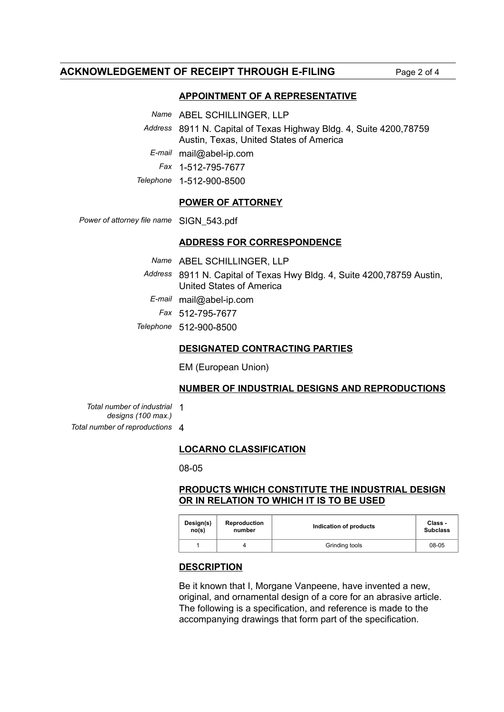## **ACKNOWLEDGEMENT OF RECEIPT THROUGH E-FILING** Page 2 of 4

## **APPOINTMENT OF A REPRESENTATIVE**

*Name* ABEL SCHILLINGER, LLP

*Address* 8911 N. Capital of Texas Highway Bldg. 4, Suite 4200,78759 Austin, Texas, United States of America

*E-mail* mail@abel-ip.com

*Fax* 1-512-795-7677

*Telephone* 1-512-900-8500

### **POWER OF ATTORNEY**

*Power of attorney file name* SIGN\_543.pdf

## **ADDRESS FOR CORRESPONDENCE**

| Name ABEL SCHILLINGER, LLP                                              |
|-------------------------------------------------------------------------|
| Address 8911 N. Capital of Texas Hwy Bldg. 4, Suite 4200, 78759 Austin, |
| United States of America                                                |
| $E$ -mail mail@abel-ip.com                                              |
| Fax 512-795-7677                                                        |
| Telephone 512-900-8500                                                  |

## **DESIGNATED CONTRACTING PARTIES**

EM (European Union)

### **NUMBER OF INDUSTRIAL DESIGNS AND REPRODUCTIONS**

*Total number of industrial* 1 *designs (100 max.)*

*Total number of reproductions* 4

## **LOCARNO CLASSIFICATION**

08-05

# **PRODUCTS WHICH CONSTITUTE THE INDUSTRIAL DESIGN OR IN RELATION TO WHICH IT IS TO BE USED**

| Design(s) | <b>Reproduction</b> | Indication of products | Class -         |
|-----------|---------------------|------------------------|-----------------|
| no(s)     | number              |                        | <b>Subclass</b> |
|           |                     | Grinding tools         | 08-05           |

### **DESCRIPTION**

Be it known that I, Morgane Vanpeene, have invented a new, original, and ornamental design of a core for an abrasive article. The following is a specification, and reference is made to the accompanying drawings that form part of the specification.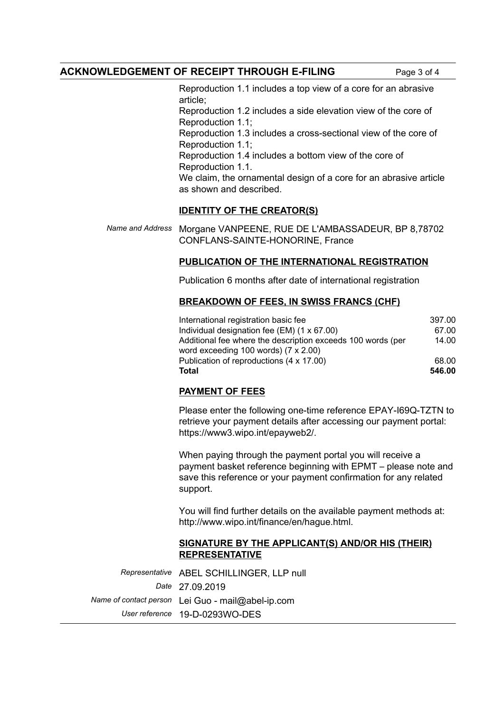# **ACKNOWLEDGEMENT OF RECEIPT THROUGH E-FILING** Page 3 of 4

Reproduction 1.1 includes a top view of a core for an abrasive article; Reproduction 1.2 includes a side elevation view of the core of Reproduction 1.1; Reproduction 1.3 includes a cross-sectional view of the core of Reproduction 1.1; Reproduction 1.4 includes a bottom view of the core of

Reproduction 1.1. We claim, the ornamental design of a core for an abrasive article as shown and described.

## **IDENTITY OF THE CREATOR(S)**

*Name and Address* Morgane VANPEENE, RUE DE L'AMBASSADEUR, BP 8,78702 CONFLANS-SAINTE-HONORINE, France

# **PUBLICATION OF THE INTERNATIONAL REGISTRATION**

Publication 6 months after date of international registration

## **BREAKDOWN OF FEES, IN SWISS FRANCS (CHF)**

| International registration basic fee                        | 397.00 |
|-------------------------------------------------------------|--------|
| Individual designation fee $(EM)$ (1 x 67.00)               | 67.00  |
| Additional fee where the description exceeds 100 words (per | 14.00  |
| word exceeding 100 words) $(7 \times 2.00)$                 |        |
| Publication of reproductions (4 x 17.00)                    | 68.00  |
| <b>Total</b>                                                | 546.00 |

# **PAYMENT OF FEES**

Please enter the following one-time reference EPAY-I69Q-TZTN to retrieve your payment details after accessing our payment portal: https://www3.wipo.int/epayweb2/.

When paying through the payment portal you will receive a payment basket reference beginning with EPMT – please note and save this reference or your payment confirmation for any related support.

You will find further details on the available payment methods at: http://www.wipo.int/finance/en/hague.html.

## **SIGNATURE BY THE APPLICANT(S) AND/OR HIS (THEIR) REPRESENTATIVE**

*Representative* ABEL SCHILLINGER, LLP null *Date* 27.09.2019 *Name of contact person* Lei Guo - mail@abel-ip.com *User reference* 19-D-0293WO-DES